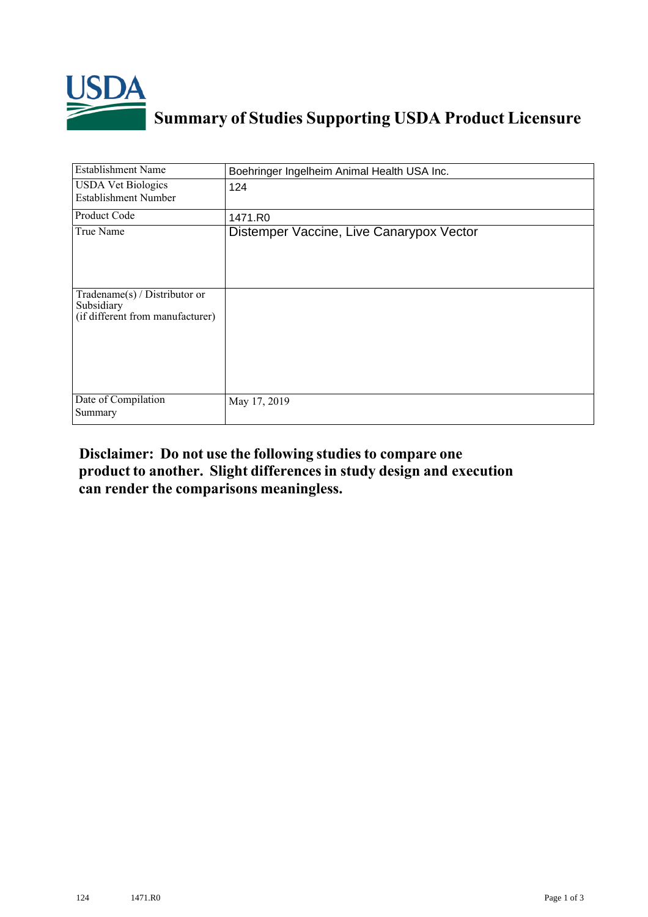

## **Summary of Studies Supporting USDA Product Licensure**

| <b>Establishment Name</b>                                                       | Boehringer Ingelheim Animal Health USA Inc. |
|---------------------------------------------------------------------------------|---------------------------------------------|
| <b>USDA Vet Biologics</b><br><b>Establishment Number</b>                        | 124                                         |
| Product Code                                                                    | 1471.R0                                     |
| True Name                                                                       | Distemper Vaccine, Live Canarypox Vector    |
| Tradename(s) / Distributor or<br>Subsidiary<br>(if different from manufacturer) |                                             |
| Date of Compilation<br>Summary                                                  | May 17, 2019                                |

## **Disclaimer: Do not use the following studiesto compare one product to another. Slight differencesin study design and execution can render the comparisons meaningless.**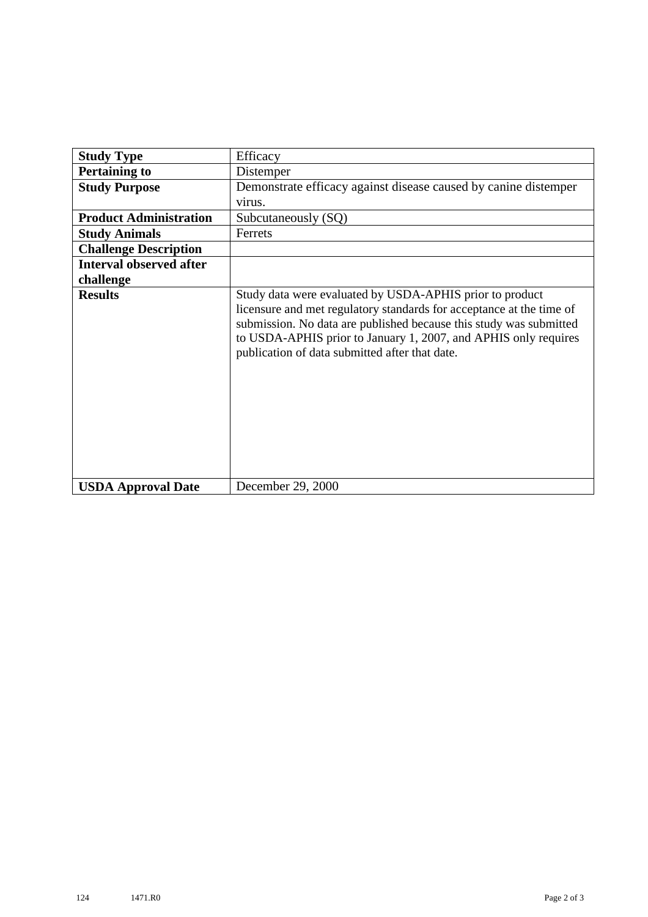| <b>Study Type</b>              | Efficacy                                                                                                                                                                                                                                                                                                                    |
|--------------------------------|-----------------------------------------------------------------------------------------------------------------------------------------------------------------------------------------------------------------------------------------------------------------------------------------------------------------------------|
| <b>Pertaining to</b>           | Distemper                                                                                                                                                                                                                                                                                                                   |
| <b>Study Purpose</b>           | Demonstrate efficacy against disease caused by canine distemper                                                                                                                                                                                                                                                             |
|                                | virus.                                                                                                                                                                                                                                                                                                                      |
| <b>Product Administration</b>  | Subcutaneously (SQ)                                                                                                                                                                                                                                                                                                         |
| <b>Study Animals</b>           | Ferrets                                                                                                                                                                                                                                                                                                                     |
| <b>Challenge Description</b>   |                                                                                                                                                                                                                                                                                                                             |
| <b>Interval observed after</b> |                                                                                                                                                                                                                                                                                                                             |
| challenge                      |                                                                                                                                                                                                                                                                                                                             |
| <b>Results</b>                 | Study data were evaluated by USDA-APHIS prior to product<br>licensure and met regulatory standards for acceptance at the time of<br>submission. No data are published because this study was submitted<br>to USDA-APHIS prior to January 1, 2007, and APHIS only requires<br>publication of data submitted after that date. |
| <b>USDA Approval Date</b>      | December 29, 2000                                                                                                                                                                                                                                                                                                           |